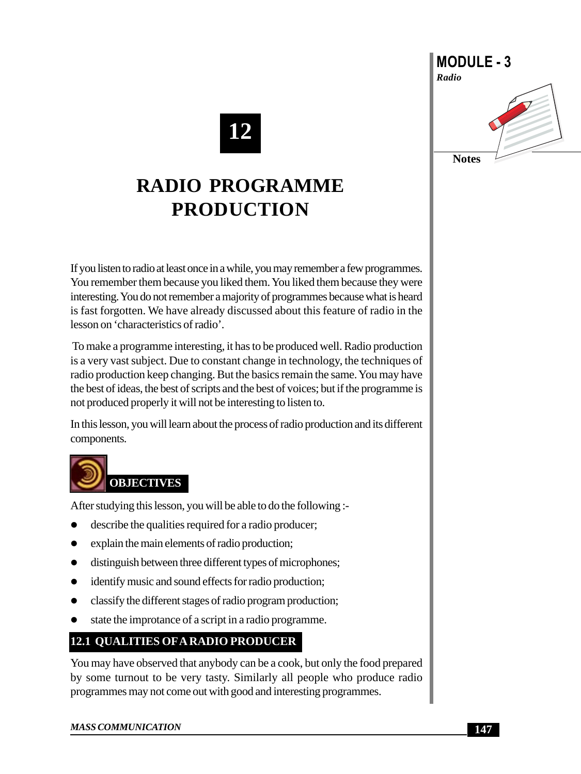# **12**

## **RADIO PROGRAMME PRODUCTION**

If you listen to radio at least once in a while, you may remember a few programmes. You remember them because you liked them. You liked them because they were interesting. You do not remember a majority of programmes because what is heard is fast forgotten. We have already discussed about this feature of radio in the lesson on 'characteristics of radio'.

 To make a programme interesting, it has to be produced well. Radio production is a very vast subject. Due to constant change in technology, the techniques of radio production keep changing. But the basics remain the same. You may have the best of ideas, the best of scripts and the best of voices; but if the programme is not produced properly it will not be interesting to listen to.

In this lesson, you will learn about the process of radio production and its different components.



After studying this lesson, you will be able to do the following :-

- $\bullet$  describe the qualities required for a radio producer;
- $\bullet$  explain the main elements of radio production;
- distinguish between three different types of microphones;
- identify music and sound effects for radio production;
- classify the different stages of radio program production;
- state the improtance of a script in a radio programme.

### **12.1 QUALITIES OF A RADIO PRODUCER**

You may have observed that anybody can be a cook, but only the food prepared by some turnout to be very tasty. Similarly all people who produce radio programmes may not come out with good and interesting programmes.



#### *MASS COMMUNICATION*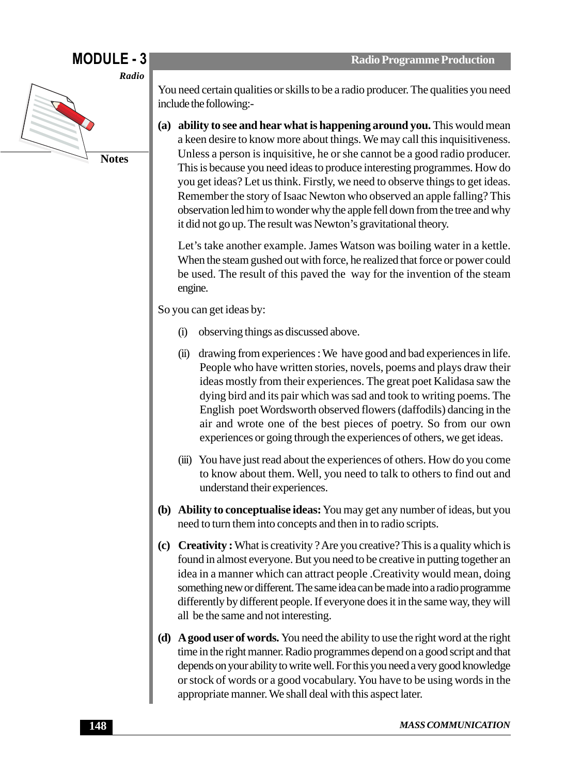

You need certain qualities or skills to be a radio producer. The qualities you need include the following:-

**(a) ability to see and hear what is happening around you.** This would mean a keen desire to know more about things. We may call this inquisitiveness. Unless a person is inquisitive, he or she cannot be a good radio producer. This is because you need ideas to produce interesting programmes. How do you get ideas? Let us think. Firstly, we need to observe things to get ideas. Remember the story of Isaac Newton who observed an apple falling? This observation led him to wonder why the apple fell down from the tree and why it did not go up. The result was Newton's gravitational theory.

Let's take another example. James Watson was boiling water in a kettle. When the steam gushed out with force, he realized that force or power could be used. The result of this paved the way for the invention of the steam engine.

So you can get ideas by:

- (i) observing things as discussed above.
- (ii) drawing from experiences : We have good and bad experiences in life. People who have written stories, novels, poems and plays draw their ideas mostly from their experiences. The great poet Kalidasa saw the dying bird and its pair which was sad and took to writing poems. The English poet Wordsworth observed flowers (daffodils) dancing in the air and wrote one of the best pieces of poetry. So from our own experiences or going through the experiences of others, we get ideas.
- (iii) You have just read about the experiences of others. How do you come to know about them. Well, you need to talk to others to find out and understand their experiences.
- **(b) Ability to conceptualise ideas:** You may get any number of ideas, but you need to turn them into concepts and then in to radio scripts.
- **(c) Creativity :** What is creativity ? Are you creative? This is a quality which is found in almost everyone. But you need to be creative in putting together an idea in a manner which can attract people .Creativity would mean, doing something new or different. The same idea can be made into a radio programme differently by different people. If everyone does it in the same way, they will all be the same and not interesting.
- **(d) A good user of words.** You need the ability to use the right word at the right time in the right manner. Radio programmes depend on a good script and that depends on your ability to write well. For this you need a very good knowledge or stock of words or a good vocabulary. You have to be using words in the appropriate manner. We shall deal with this aspect later.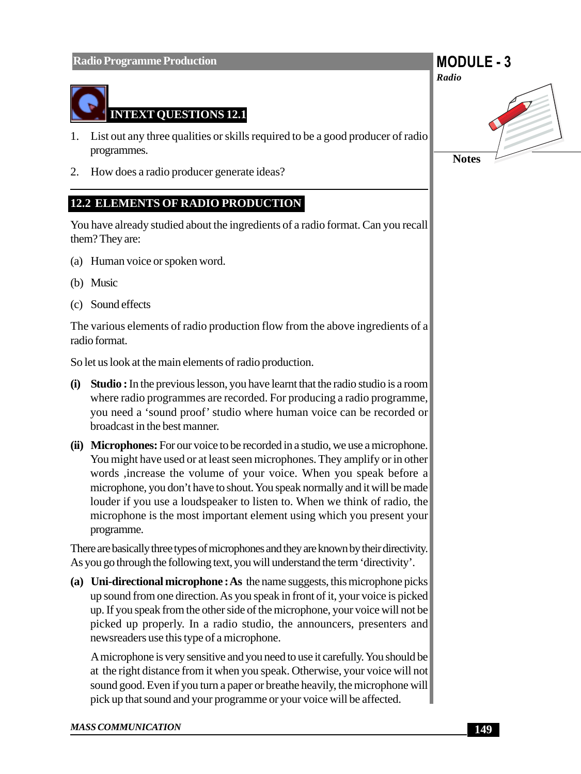

- 1. List out any three qualities or skills required to be a good producer of radio programmes.
- 2. How does a radio producer generate ideas?

### **12.2 ELEMENTS OF RADIO PRODUCTION**

You have already studied about the ingredients of a radio format. Can you recall them? They are:

- (a) Human voice or spoken word.
- (b) Music
- (c) Sound effects

The various elements of radio production flow from the above ingredients of a radio format.

So let us look at the main elements of radio production.

- **(i) Studio :** In the previous lesson, you have learnt that the radio studio is a room where radio programmes are recorded. For producing a radio programme, you need a 'sound proof' studio where human voice can be recorded or broadcast in the best manner.
- **(ii) Microphones:** For our voice to be recorded in a studio, we use a microphone. You might have used or at least seen microphones. They amplify or in other words ,increase the volume of your voice. When you speak before a microphone, you don't have to shout. You speak normally and it will be made louder if you use a loudspeaker to listen to. When we think of radio, the microphone is the most important element using which you present your programme.

There are basically three types of microphones and they are known by their directivity. As you go through the following text, you will understand the term 'directivity'.

**(a) Uni-directional microphone : As** the name suggests, this microphone picks up sound from one direction. As you speak in front of it, your voice is picked up. If you speak from the other side of the microphone, your voice will not be picked up properly. In a radio studio, the announcers, presenters and newsreaders use this type of a microphone.

A microphone is very sensitive and you need to use it carefully. You should be at the right distance from it when you speak. Otherwise, your voice will not sound good. Even if you turn a paper or breathe heavily, the microphone will pick up that sound and your programme or your voice will be affected.

## **MODULE - 3**



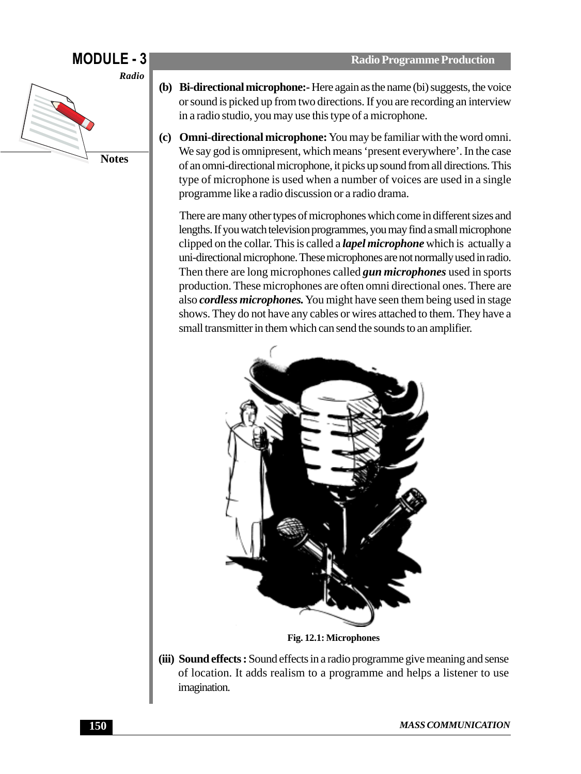## **MODULE - 3**



**(b) Bi-directional microphone:-** Here again as the name (bi) suggests, the voice or sound is picked up from two directions. If you are recording an interview in a radio studio, you may use this type of a microphone.

**Radio Programme Production**

**(c) Omni-directional microphone:** You may be familiar with the word omni. We say god is omnipresent, which means 'present everywhere'. In the case of an omni-directional microphone, it picks up sound from all directions. This type of microphone is used when a number of voices are used in a single programme like a radio discussion or a radio drama.

There are many other types of microphones which come in different sizes and lengths. If you watch television programmes, you may find a small microphone clipped on the collar. This is called a *lapel microphone* which is actually a uni-directional microphone. These microphones are not normally used in radio. Then there are long microphones called *gun microphones* used in sports production. These microphones are often omni directional ones. There are also *cordless microphones.* You might have seen them being used in stage shows. They do not have any cables or wires attached to them. They have a small transmitter in them which can send the sounds to an amplifier.



**Fig. 12.1: Microphones**

**(iii) Sound effects :** Sound effects in a radio programme give meaning and sense of location. It adds realism to a programme and helps a listener to use imagination.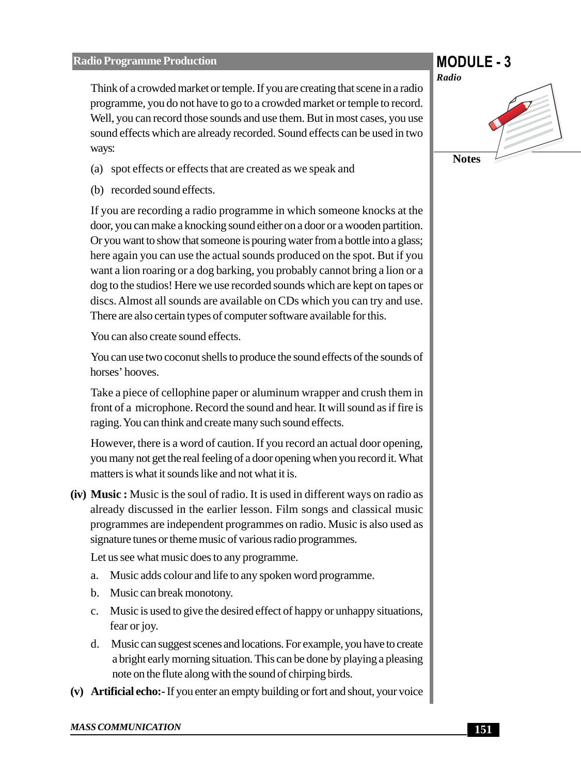#### **Radio Programme Production**

Think of a crowded market or temple. If you are creating that scene in a radio programme, you do not have to go to a crowded market or temple to record. Well, you can record those sounds and use them. But in most cases, you use sound effects which are already recorded. Sound effects can be used in two ways:

- (a) spot effects or effects that are created as we speak and
- (b) recorded sound effects.

If you are recording a radio programme in which someone knocks at the door, you can make a knocking sound either on a door or a wooden partition. Or you want to show that someone is pouring water from a bottle into a glass; here again you can use the actual sounds produced on the spot. But if you want a lion roaring or a dog barking, you probably cannot bring a lion or a dog to the studios! Here we use recorded sounds which are kept on tapes or discs. Almost all sounds are available on CDs which you can try and use. There are also certain types of computer software available for this.

You can also create sound effects.

You can use two coconut shells to produce the sound effects of the sounds of horses' hooves.

Take a piece of cellophine paper or aluminum wrapper and crush them in front of a microphone. Record the sound and hear. It will sound as if fire is raging. You can think and create many such sound effects.

However, there is a word of caution. If you record an actual door opening, you many not get the real feeling of a door opening when you record it. What matters is what it sounds like and not what it is.

**(iv) Music :** Music is the soul of radio. It is used in different ways on radio as already discussed in the earlier lesson. Film songs and classical music programmes are independent programmes on radio. Music is also used as signature tunes or theme music of various radio programmes.

Let us see what music does to any programme.

- a. Music adds colour and life to any spoken word programme.
- b. Music can break monotony.
- c. Music is used to give the desired effect of happy or unhappy situations, fear or joy.
- d. Music can suggest scenes and locations. For example, you have to create a bright early morning situation. This can be done by playing a pleasing note on the flute along with the sound of chirping birds.
- **(v) Artificial echo:-** If you enter an empty building or fort and shout, your voice

## **MODULE - 3**

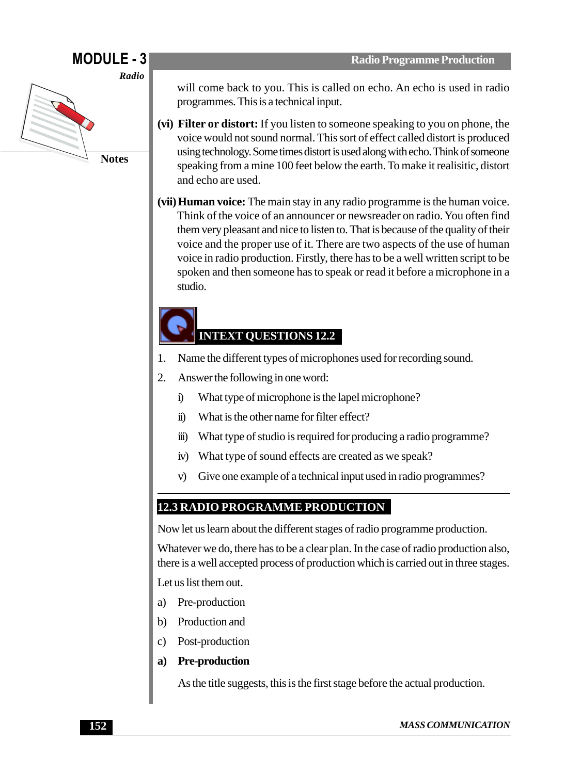## **MODULE - 3**



will come back to you. This is called on echo. An echo is used in radio programmes. This is a technical input.

- **(vi) Filter or distort:** If you listen to someone speaking to you on phone, the voice would not sound normal. This sort of effect called distort is produced using technology. Some times distort is used along with echo. Think of someone speaking from a mine 100 feet below the earth. To make it realisitic, distort and echo are used.
- **(vii)Human voice:** The main stay in any radio programme is the human voice. Think of the voice of an announcer or newsreader on radio. You often find them very pleasant and nice to listen to. That is because of the quality of their voice and the proper use of it. There are two aspects of the use of human voice in radio production. Firstly, there has to be a well written script to be spoken and then someone has to speak or read it before a microphone in a studio.

## **INTEXT QUESTIONS 12.2**

- 1. Name the different types of microphones used for recording sound.
- 2. Answer the following in one word:
	- i) What type of microphone is the lapel microphone?
	- ii) What is the other name for filter effect?
	- iii) What type of studio is required for producing a radio programme?
	- iv) What type of sound effects are created as we speak?
	- v) Give one example of a technical input used in radio programmes?

### **12.3 RADIO PROGRAMME PRODUCTION**

Now let us learn about the different stages of radio programme production.

Whatever we do, there has to be a clear plan. In the case of radio production also, there is a well accepted process of production which is carried out in three stages.

Let us list them out.

- a) Pre-production
- b) Production and
- c) Post-production
- **a) Pre-production**

As the title suggests, this is the first stage before the actual production.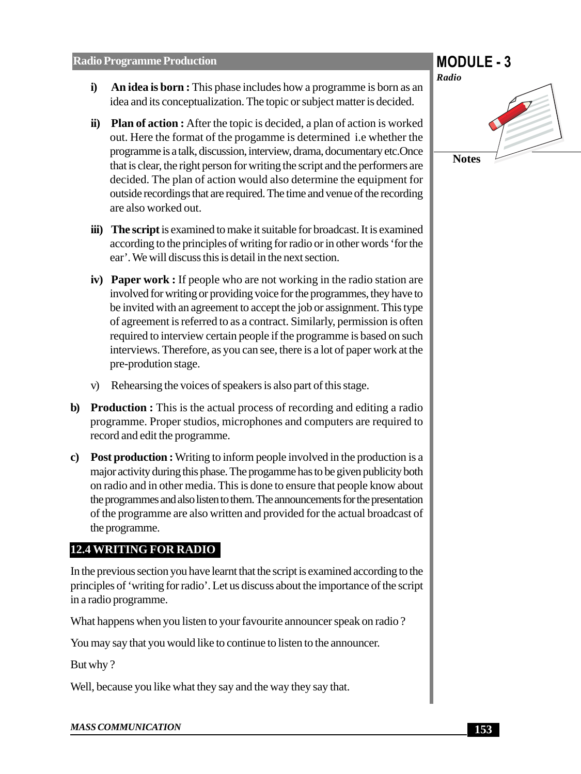- **i) An idea is born :** This phase includes how a programme is born as an idea and its conceptualization. The topic or subject matter is decided.
- **ii)** Plan of action : After the topic is decided, a plan of action is worked out. Here the format of the progamme is determined i.e whether the programme is a talk, discussion, interview, drama, documentary etc.Once that is clear, the right person for writing the script and the performers are decided. The plan of action would also determine the equipment for outside recordings that are required. The time and venue of the recording are also worked out.
- **iii) The script** is examined to make it suitable for broadcast. It is examined according to the principles of writing for radio or in other words 'for the ear'. We will discuss this is detail in the next section.
- **iv) Paper work :** If people who are not working in the radio station are involved for writing or providing voice for the programmes, they have to be invited with an agreement to accept the job or assignment. This type of agreement is referred to as a contract. Similarly, permission is often required to interview certain people if the programme is based on such interviews. Therefore, as you can see, there is a lot of paper work at the pre-prodution stage.
- v) Rehearsing the voices of speakers is also part of this stage.
- **b) Production :** This is the actual process of recording and editing a radio programme. Proper studios, microphones and computers are required to record and edit the programme.
- **c) Post production :** Writing to inform people involved in the production is a major activity during this phase. The progamme has to be given publicity both on radio and in other media. This is done to ensure that people know about the programmes and also listen to them. The announcements for the presentation of the programme are also written and provided for the actual broadcast of the programme.

#### **12.4 WRITING FOR RADIO**

In the previous section you have learnt that the script is examined according to the principles of 'writing for radio'. Let us discuss about the importance of the script in a radio programme.

What happens when you listen to your favourite announcer speak on radio?

You may say that you would like to continue to listen to the announcer.

But why ?

Well, because you like what they say and the way they say that.



#### *MASS COMMUNICATION*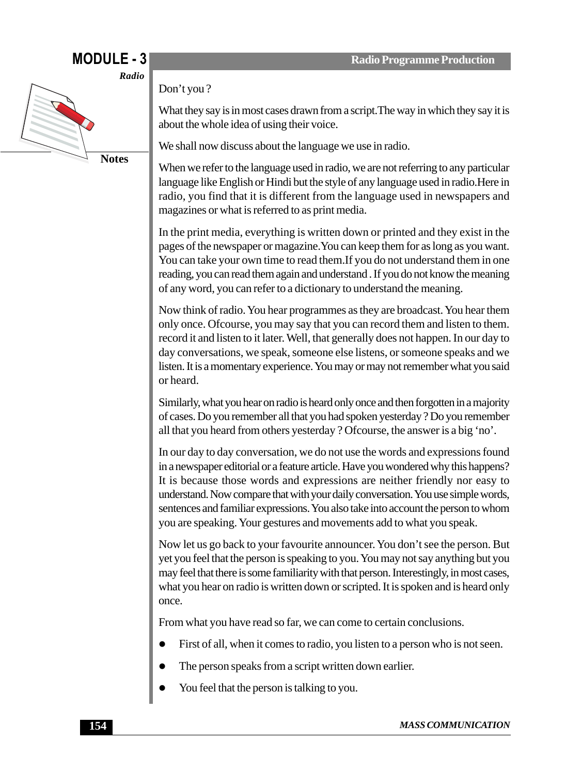## **MODULE - 3**



Don't you ?

What they say is in most cases drawn from a script.The way in which they say it is about the whole idea of using their voice.

We shall now discuss about the language we use in radio.

When we refer to the language used in radio, we are not referring to any particular language like English or Hindi but the style of any language used in radio.Here in radio, you find that it is different from the language used in newspapers and magazines or what is referred to as print media.

In the print media, everything is written down or printed and they exist in the pages of the newspaper or magazine.You can keep them for as long as you want. You can take your own time to read them.If you do not understand them in one reading, you can read them again and understand . If you do not know the meaning of any word, you can refer to a dictionary to understand the meaning.

Now think of radio. You hear programmes as they are broadcast. You hear them only once. Ofcourse, you may say that you can record them and listen to them. record it and listen to it later. Well, that generally does not happen. In our day to day conversations, we speak, someone else listens, or someone speaks and we listen. It is a momentary experience. You may or may not remember what you said or heard.

Similarly, what you hear on radio is heard only once and then forgotten in a majority of cases. Do you remember all that you had spoken yesterday ? Do you remember all that you heard from others yesterday ? Ofcourse, the answer is a big 'no'.

In our day to day conversation, we do not use the words and expressions found in a newspaper editorial or a feature article. Have you wondered why this happens? It is because those words and expressions are neither friendly nor easy to understand. Now compare that with your daily conversation. You use simple words, sentences and familiar expressions. You also take into account the person to whom you are speaking. Your gestures and movements add to what you speak.

Now let us go back to your favourite announcer. You don't see the person. But yet you feel that the person is speaking to you. You may not say anything but you may feel that there is some familiarity with that person. Interestingly, in most cases, what you hear on radio is written down or scripted. It is spoken and is heard only once.

From what you have read so far, we can come to certain conclusions.

- First of all, when it comes to radio, you listen to a person who is not seen.
- The person speaks from a script written down earlier.
- You feel that the person is talking to you.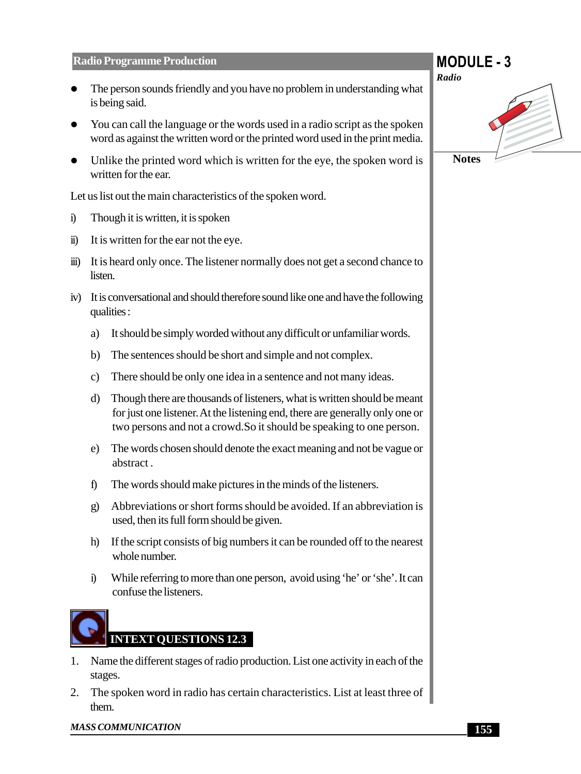#### **Radio Programme Production**

- The person sounds friendly and you have no problem in understanding what is being said.
- You can call the language or the words used in a radio script as the spoken word as against the written word or the printed word used in the print media.
- $\bullet$  Unlike the printed word which is written for the eye, the spoken word is written for the ear.

Let us list out the main characteristics of the spoken word.

- i) Though it is written, it is spoken
- ii) It is written for the ear not the eye.
- iii) It is heard only once. The listener normally does not get a second chance to listen.
- iv) It is conversational and should therefore sound like one and have the following qualities :
	- a) It should be simply worded without any difficult or unfamiliar words.
	- b) The sentences should be short and simple and not complex.
	- c) There should be only one idea in a sentence and not many ideas.
	- d) Though there are thousands of listeners, what is written should be meant for just one listener. At the listening end, there are generally only one or two persons and not a crowd.So it should be speaking to one person.
	- e) The words chosen should denote the exact meaning and not be vague or abstract .
	- f) The words should make pictures in the minds of the listeners.
	- g) Abbreviations or short forms should be avoided. If an abbreviation is used, then its full form should be given.
	- h) If the script consists of big numbers it can be rounded off to the nearest whole number.
	- i) While referring to more than one person, avoid using 'he' or 'she'. It can confuse the listeners.



- 1. Name the different stages of radio production. List one activity in each of the stages.
- 2. The spoken word in radio has certain characteristics. List at least three of them.

# **MODULE - 3** *Radio* **Notes**

*MASS COMMUNICATION*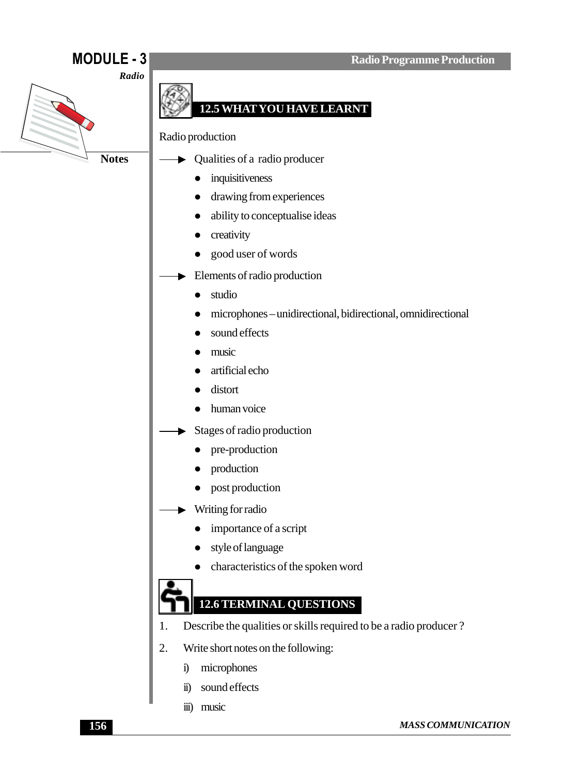